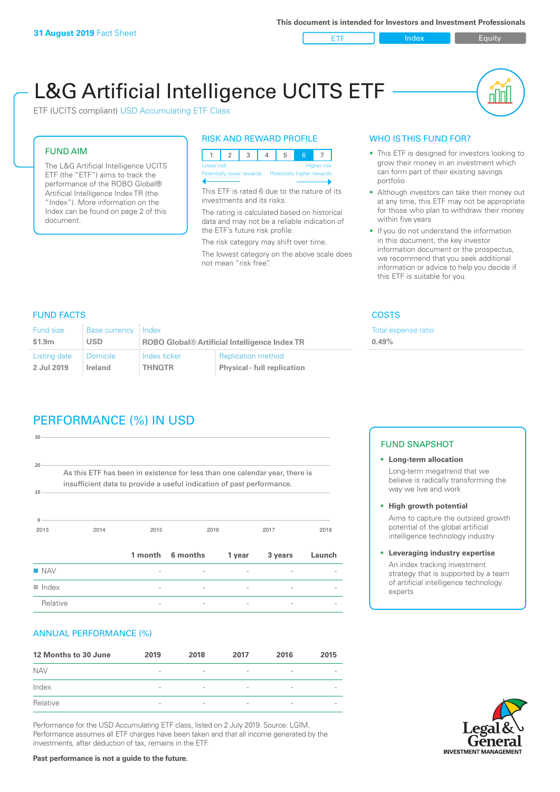ETF Index Buity

nl M

# L&G Artificial Intelligence UCITS ETF

ETF (UCITS compliant) USD Accumulating ETF Class

#### FUND AIM

The L&G Artificial Intelligence UCITS ETF (the "ETF") aims to track the performance of the ROBO Global® Artificial Intelligence Index TR (the "Index"). More information on the Index can be found on page 2 of this document.

#### RISK AND REWARD PROFILE



This ETF is rated 6 due to the nature of its investments and its risks.

The rating is calculated based on historical data and may not be a reliable indication of the ETF's future risk profile.

The risk category may shift over time. The lowest category on the above scale does not mean "risk free".

#### WHO IS THIS FUND FOR?

- This ETF is designed for investors looking to grow their money in an investment which can form part of their existing savings portfolio
- Although investors can take their money out at any time, this ETF may not be appropriate for those who plan to withdraw their money within five years
- If you do not understand the information in this document, the key investor information document or the prospectus, we recommend that you seek additional information or advice to help you decide if this ETF is suitable for you.

**0.49%**

Total expense ratio

FUND FACTS COSTS

| Fund size    | <b>Base currency</b> | Index                                                |                                    |  |
|--------------|----------------------|------------------------------------------------------|------------------------------------|--|
| \$1.9m       | <b>USD</b>           | <b>ROBO Global® Artificial Intelligence Index TR</b> |                                    |  |
| Listing date | <b>Domicile</b>      | Index ticker                                         | <b>Replication method</b>          |  |
| 2 Jul 2019   | Ireland              | <b>THNOTR</b>                                        | <b>Physical - full replication</b> |  |

# PERFORMANCE (%) IN USD

| 30                   |                                                                                                                                                      |                          |          |        |         |        |
|----------------------|------------------------------------------------------------------------------------------------------------------------------------------------------|--------------------------|----------|--------|---------|--------|
| 20<br>10             | As this ETF has been in existence for less than one calendar year, there is<br>insufficient data to provide a useful indication of past performance. |                          |          |        |         |        |
| $\mathbf{0}$<br>2013 | 2014                                                                                                                                                 | 2015                     |          | 2016   | 2017    | 2018   |
|                      |                                                                                                                                                      | 1 month                  | 6 months | 1 year | 3 years | Launch |
| <b>NAV</b>           |                                                                                                                                                      |                          |          |        |         |        |
| $\blacksquare$ Index |                                                                                                                                                      | $\overline{\phantom{0}}$ |          |        |         |        |
| Relative             |                                                                                                                                                      |                          |          |        |         |        |

#### ANNUAL PERFORMANCE (%)

| 12 Months to 30 June | 2019                     | 2018                     | 2017                     | 2016                     | 2015                     |
|----------------------|--------------------------|--------------------------|--------------------------|--------------------------|--------------------------|
| <b>NAV</b>           | $\overline{\phantom{a}}$ | $\qquad \qquad$          | $\qquad \qquad$          | $\qquad \qquad$          | $\overline{\phantom{a}}$ |
| Index                | $\overline{\phantom{a}}$ | $\qquad \qquad$          | $\overline{\phantom{0}}$ | $\qquad \qquad$          | -                        |
| Relative             | $\overline{\phantom{a}}$ | $\overline{\phantom{a}}$ | $\overline{\phantom{0}}$ | $\overline{\phantom{0}}$ |                          |

Performance for the USD Accumulating ETF class, listed on 2 July 2019. Source: LGIM. Performance assumes all ETF charges have been taken and that all income generated by the investments, after deduction of tax, remains in the ETF.

#### FUND SNAPSHOT

- **• Long-term allocation** Long-term megatrend that we believe is radically transforming the way we live and work
- **• High growth potential** Aims to capture the outsized growth potential of the global artificial intelligence technology industry
- **• Leveraging industry expertise** An index tracking investment strategy that is supported by a team of artificial intelligence technology experts



**Past performance is not a guide to the future.**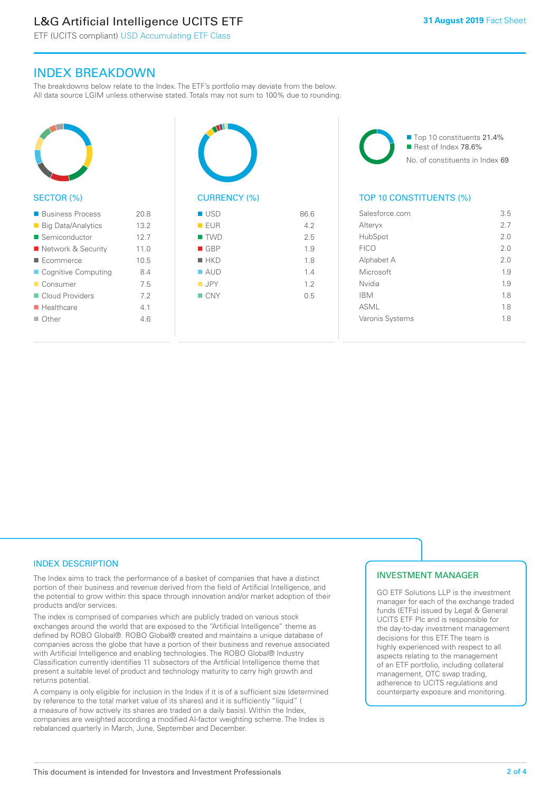# L&G Artificial Intelligence UCITS ETF

 $20.8$ 

ETF (UCITS compliant) USD Accumulating ETF Class

### INDEX BREAKDOWN

The breakdowns below relate to the Index. The ETF's portfolio may deviate from the below. All data source LGIM unless otherwise stated. Totals may not sum to 100% due to rounding.

| SECTOR (%)                                      |
|-------------------------------------------------|
| ■ Business Process<br><b>Big Data/Analytics</b> |

| ■ Big Data/Analytics      | 13.2 |
|---------------------------|------|
| ■ Semiconductor           | 12.7 |
| Network & Security        | 11.0 |
| $\blacksquare$ Ecommerce  | 10.5 |
| Cognitive Computing       | 8.4  |
| Consumer                  | 7.5  |
| Cloud Providers           | 7.2  |
| $\blacksquare$ Healthcare | 4.1  |
| $\Box$ Other              | 46   |
|                           |      |



| ■ USD              | 86.6 |
|--------------------|------|
| EUR                | 4.2  |
| ■ TWD              | 2.5  |
| $\blacksquare$ GBP | 1.9  |
| $H$ HKD            | 1.8  |
| $\blacksquare$ AUD | 1.4  |
| $\blacksquare$ JPY | 1.2  |
| $\blacksquare$ CNY | 0.5  |
|                    |      |
|                    |      |

■ Top 10 constituents 21.4% Rest of Index 78.6% No. of constituents in Index 69

#### TOP 10 CONSTITUENTS (%)

| Salesforce.com  | 3.5 |
|-----------------|-----|
| Alteryx         | 27  |
| HubSpot         | 20  |
| <b>FICO</b>     | 2.0 |
| Alphabet A      | 2 O |
| Microsoft       | 1.9 |
| Nvidia          | 1.9 |
| <b>IBM</b>      | 1.8 |
| <b>ASML</b>     | 1.8 |
| Varonis Systems | 1.8 |
|                 |     |

#### INDEX DESCRIPTION

The Index aims to track the performance of a basket of companies that have a distinct portion of their business and revenue derived from the field of Artificial Intelligence, and the potential to grow within this space through innovation and/or market adoption of their products and/or services.

The index is comprised of companies which are publicly traded on various stock exchanges around the world that are exposed to the "Artificial Intelligence" theme as defined by ROBO Global®. ROBO Global® created and maintains a unique database of companies across the globe that have a portion of their business and revenue associated with Artificial Intelligence and enabling technologies. The ROBO Global® Industry Classification currently identifies 11 subsectors of the Artificial Intelligence theme that present a suitable level of product and technology maturity to carry high growth and returns potential.

A company is only eligible for inclusion in the Index if it is of a sufficient size (determined by reference to the total market value of its shares) and it is sufficiently "liquid" ( a measure of how actively its shares are traded on a daily basis). Within the Index, companies are weighted according a modified AI-factor weighting scheme. The Index is rebalanced quarterly in March, June, September and December.

#### INVESTMENT MANAGER

GO ETF Solutions LLP is the investment manager for each of the exchange traded funds (ETFs) issued by Legal & General UCITS ETF Plc and is responsible for the day-to-day investment management decisions for this ETF. The team is highly experienced with respect to all aspects relating to the management of an ETF portfolio, including collateral management, OTC swap trading, adherence to UCITS regulations and counterparty exposure and monitoring.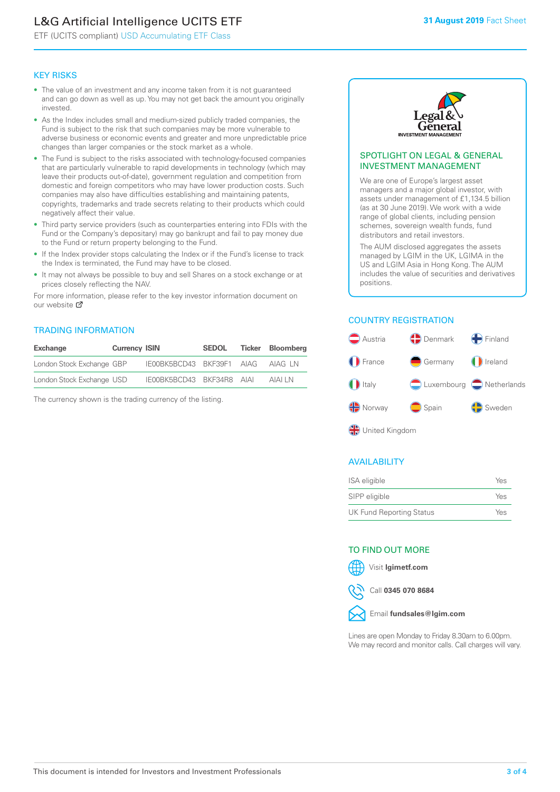# L&G Artificial Intelligence UCITS ETF

ETF (UCITS compliant) USD Accumulating ETF Class

#### KEY RISKS

- The value of an investment and any income taken from it is not guaranteed and can go down as well as up. You may not get back the amount you originally invested.
- As the Index includes small and medium-sized publicly traded companies, the Fund is subject to the risk that such companies may be more vulnerable to adverse business or economic events and greater and more unpredictable price changes than larger companies or the stock market as a whole.
- The Fund is subject to the risks associated with technology-focused companies that are particularly vulnerable to rapid developments in technology (which may leave their products out-of-date), government regulation and competition from domestic and foreign competitors who may have lower production costs. Such companies may also have difficulties establishing and maintaining patents, copyrights, trademarks and trade secrets relating to their products which could negatively affect their value.
- Third party service providers (such as counterparties entering into FDIs with the Fund or the Company's depositary) may go bankrupt and fail to pay money due to the Fund or return property belonging to the Fund.
- If the Index provider stops calculating the Index or if the Fund's license to track the Index is terminated, the Fund may have to be closed.
- It may not always be possible to buy and sell Shares on a stock exchange or at prices closely reflecting the NAV.

For more information, please refer to the key investor information document on our website M

#### TRADING INFORMATION

| Exchange                  | <b>Currency ISIN</b> |                           | <b>SEDOL</b> | Ticker Bloomberg |
|---------------------------|----------------------|---------------------------|--------------|------------------|
| London Stock Exchange GBP |                      | IE00BK5BCD43 BKF39F1 AIAG |              | AIAG I N         |
| London Stock Exchange USD |                      | IE00BK5BCD43 BKF34R8 AIAI |              | AIAI I N         |

The currency shown is the trading currency of the listing.



#### SPOTLIGHT ON LEGAL & GENERAL INVESTMENT MANAGEMENT

We are one of Europe's largest asset managers and a major global investor, with assets under management of £1,134.5 billion (as at 30 June 2019). We work with a wide range of global clients, including pension schemes, sovereign wealth funds, fund distributors and retail investors.

The AUM disclosed aggregates the assets managed by LGIM in the UK, LGIMA in the US and LGIM Asia in Hong Kong. The AUM includes the value of securities and derivatives positions.

#### COUNTRY REGISTRATION



#### AVAILABILITY

| ISA eligible                    | Yes |
|---------------------------------|-----|
| SIPP eligible                   | Yes |
| <b>UK Fund Reporting Status</b> | Yes |

#### TO FIND OUT MORE

Visit **lgimetf.com**



Call **0345 070 8684**



Lines are open Monday to Friday 8.30am to 6.00pm. We may record and monitor calls. Call charges will vary.